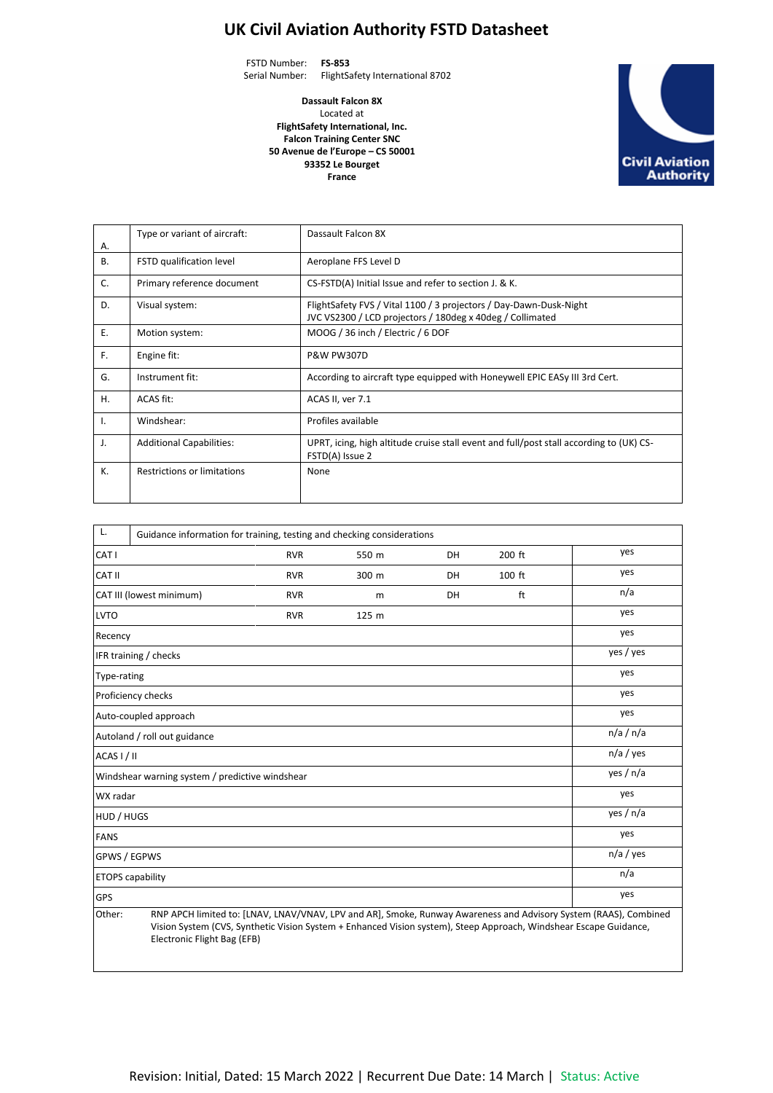## **UK Civil Aviation Authority FSTD Datasheet**

FSTD Number: **FS-853** Serial Number: FlightSafety International 8702

> **Dassault Falcon 8X** Located at **FlightSafety International, Inc. Falcon Training Center SNC 50 Avenue de l'Europe – CS 50001 93352 Le Bourget France**



| А.        | Type or variant of aircraft:       | Dassault Falcon 8X                                                                                                              |
|-----------|------------------------------------|---------------------------------------------------------------------------------------------------------------------------------|
| <b>B.</b> | FSTD qualification level           | Aeroplane FFS Level D                                                                                                           |
| C.        | Primary reference document         | CS-FSTD(A) Initial Issue and refer to section J. & K.                                                                           |
| D.        | Visual system:                     | FlightSafety FVS / Vital 1100 / 3 projectors / Day-Dawn-Dusk-Night<br>JVC VS2300 / LCD projectors / 180deg x 40deg / Collimated |
| Ε.        | Motion system:                     | MOOG / 36 inch / Electric / 6 DOF                                                                                               |
| F.        | Engine fit:                        | <b>P&amp;W PW307D</b>                                                                                                           |
| G.        | Instrument fit:                    | According to aircraft type equipped with Honeywell EPIC EASy III 3rd Cert.                                                      |
| H.        | ACAS fit:                          | ACAS II, ver 7.1                                                                                                                |
| Ι.        | Windshear:                         | Profiles available                                                                                                              |
| J.        | <b>Additional Capabilities:</b>    | UPRT, icing, high altitude cruise stall event and full/post stall according to (UK) CS-<br>FSTD(A) Issue 2                      |
| K.        | <b>Restrictions or limitations</b> | None                                                                                                                            |

| L.                       | Guidance information for training, testing and checking considerations                                                                                                                                                                                               |             |       |    |        |     |  |  |
|--------------------------|----------------------------------------------------------------------------------------------------------------------------------------------------------------------------------------------------------------------------------------------------------------------|-------------|-------|----|--------|-----|--|--|
| CAT I                    |                                                                                                                                                                                                                                                                      | <b>RVR</b>  | 550 m | DH | 200 ft | yes |  |  |
| CAT II                   |                                                                                                                                                                                                                                                                      | <b>RVR</b>  | 300 m | DH | 100 ft | yes |  |  |
| CAT III (lowest minimum) |                                                                                                                                                                                                                                                                      | <b>RVR</b>  | m     | DH | ft     | n/a |  |  |
| <b>LVTO</b>              |                                                                                                                                                                                                                                                                      | <b>RVR</b>  | 125 m |    |        | yes |  |  |
| Recency                  |                                                                                                                                                                                                                                                                      |             |       |    |        | yes |  |  |
|                          | IFR training / checks                                                                                                                                                                                                                                                | yes / yes   |       |    |        |     |  |  |
| Type-rating              |                                                                                                                                                                                                                                                                      | yes         |       |    |        |     |  |  |
|                          | Proficiency checks                                                                                                                                                                                                                                                   | yes         |       |    |        |     |  |  |
|                          | Auto-coupled approach                                                                                                                                                                                                                                                | yes         |       |    |        |     |  |  |
|                          | Autoland / roll out guidance                                                                                                                                                                                                                                         | n/a / n/a   |       |    |        |     |  |  |
| ACAS I / II              |                                                                                                                                                                                                                                                                      | $n/a$ / yes |       |    |        |     |  |  |
|                          | Windshear warning system / predictive windshear                                                                                                                                                                                                                      | yes / n/a   |       |    |        |     |  |  |
| WX radar                 |                                                                                                                                                                                                                                                                      | yes         |       |    |        |     |  |  |
| HUD / HUGS               |                                                                                                                                                                                                                                                                      | yes / n/a   |       |    |        |     |  |  |
| <b>FANS</b>              |                                                                                                                                                                                                                                                                      | yes         |       |    |        |     |  |  |
| GPWS / EGPWS             |                                                                                                                                                                                                                                                                      | $n/a$ / yes |       |    |        |     |  |  |
|                          | <b>ETOPS</b> capability                                                                                                                                                                                                                                              | n/a         |       |    |        |     |  |  |
| <b>GPS</b>               | yes                                                                                                                                                                                                                                                                  |             |       |    |        |     |  |  |
| Other:                   | RNP APCH limited to: [LNAV, LNAV/VNAV, LPV and AR], Smoke, Runway Awareness and Advisory System (RAAS), Combined<br>Vision System (CVS, Synthetic Vision System + Enhanced Vision system), Steep Approach, Windshear Escape Guidance,<br>Electronic Flight Bag (EFB) |             |       |    |        |     |  |  |

Revision: Initial, Dated: 15 March 2022 | Recurrent Due Date: 14 March | Status: Active